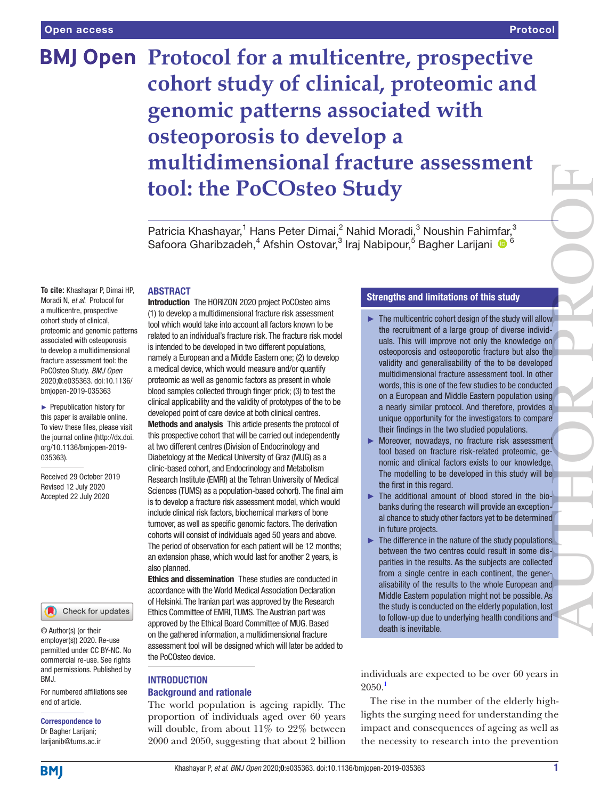# **BMJ Open** Protocol for a multicentre, prospective **cohort study of clinical, proteomic and genomic patterns associated with osteoporosis to develop a multidimensional fracture assessment tool: the PoCOsteo Study**

Patricia Khashayar,<sup>1</sup> Hans Peter Dimai,<sup>2</sup> Nahid Moradi,<sup>3</sup> Noushin Fahimfar,<sup>3</sup> Safoora Gharibzadeh,<sup>4</sup> Afshin Ostovar,<sup>3</sup> Iraj Nabipour,<sup>5</sup> Bagher Larijani <sup>® 6</sup>

## ABSTRACT

**To cite:** Khashayar P, Dimai HP, Moradi N, *et al*. Protocol for a multicentre, prospective cohort study of clinical, proteomic and genomic patterns associated with osteoporosis to develop a multidimensional fracture assessment tool: the PoCOsteo Study. *BMJ Open* 2020;0:e035363. doi:10.1136/ bmjopen-2019-035363

► Prepublication history for this paper is available online. To view these files, please visit the journal online (http://dx.doi. org/10.1136/bmjopen-2019- 035363).

Received 29 October 2019 Revised 12 July 2020 Accepted 22 July 2020



© Author(s) (or their employer(s)) 2020. Re-use permitted under CC BY-NC. No commercial re-use. See rights and permissions. Published by BMJ.

For numbered affiliations see end of article.

# Correspondence to

Dr Bagher Larijani; larijanib@tums.ac.ir Introduction The HORIZON 2020 project PoCOsteo aims (1) to develop a multidimensional fracture risk assessment tool which would take into account all factors known to be related to an individual's fracture risk. The fracture risk model is intended to be developed in two different populations, namely a European and a Middle Eastern one; (2) to develop a medical device, which would measure and/or quantify proteomic as well as genomic factors as present in whole blood samples collected through finger prick; (3) to test the clinical applicability and the validity of prototypes of the to be developed point of care device at both clinical centres. Methods and analysis This article presents the protocol of this prospective cohort that will be carried out independently at two different centres (Division of Endocrinology and Diabetology at the Medical University of Graz (MUG) as a clinic-based cohort, and Endocrinology and Metabolism Research Institute (EMRI) at the Tehran University of Medical Sciences (TUMS) as a population-based cohort). The final aim is to develop a fracture risk assessment model, which would include clinical risk factors, biochemical markers of bone turnover, as well as specific genomic factors. The derivation cohorts will consist of individuals aged 50 years and above. The period of observation for each patient will be 12 months; an extension phase, which would last for another 2 years, is also planned.

Ethics and dissemination These studies are conducted in accordance with the World Medical Association Declaration of Helsinki. The Iranian part was approved by the Research Ethics Committee of EMRI, TUMS. The Austrian part was approved by the Ethical Board Committee of MUG. Based on the gathered information, a multidimensional fracture assessment tool will be designed which will later be added to the PoCOsteo device.

# **INTRODUCTION**

## Background and rationale

The world population is ageing rapidly. The proportion of individuals aged over 60 years will double, from about 11% to 22% between 2000 and 2050, suggesting that about 2 billion

## Strengths and limitations of this study

- $\blacktriangleright$  The multicentric cohort design of the study will allow the recruitment of a large group of diverse individuals. This will improve not only the knowledge on osteoporosis and osteoporotic fracture but also the validity and generalisability of the to be developed multidimensional fracture assessment tool. In other words, this is one of the few studies to be conducted on a European and Middle Eastern population using a nearly similar protocol. And therefore, provides a unique opportunity for the investigators to compare their findings in the two studied populations. AUTHOR PROOF
- ► Moreover, nowadays, no fracture risk assessment tool based on fracture risk-related proteomic, genomic and clinical factors exists to our knowledge. The modelling to be developed in this study will be the first in this regard.
- ► The additional amount of blood stored in the biobanks during the research will provide an exceptional chance to study other factors yet to be determined in future projects.
- $\blacktriangleright$  The difference in the nature of the study populations between the two centres could result in some disparities in the results. As the subjects are collected from a single centre in each continent, the generalisability of the results to the whole European and Middle Eastern population might not be possible. As the study is conducted on the elderly population, lost to follow-up due to underlying health conditions and death is inevitable.

individuals are expected to be over 60 years in  $2050.<sup>1</sup>$ 

The rise in the number of the elderly highlights the surging need for understanding the impact and consequences of ageing as well as the necessity to research into the prevention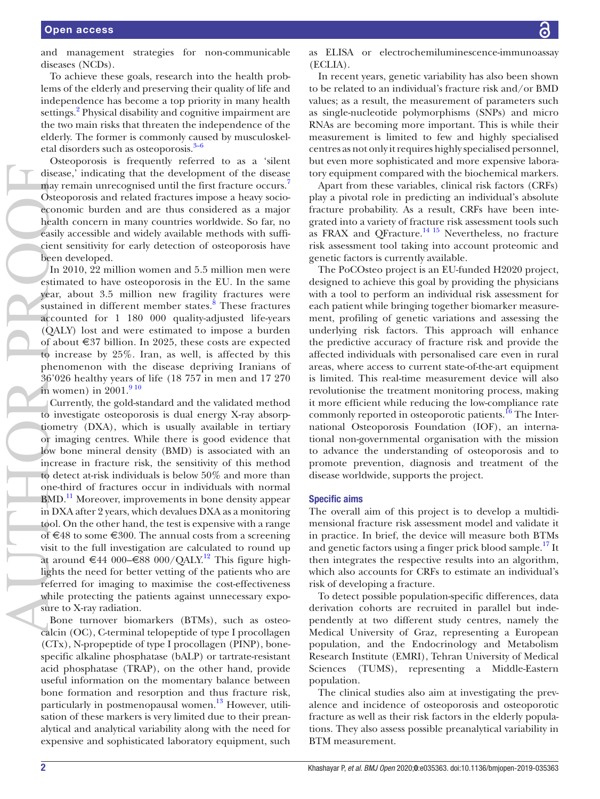and management strategies for non-communicable diseases (NCDs).

To achieve these goals, research into the health problems of the elderly and preserving their quality of life and independence has become a top priority in many health settings.<sup>[2](#page-7-1)</sup> Physical disability and cognitive impairment are the two main risks that threaten the independence of the elderly. The former is commonly caused by musculoskeletal disorders such as osteoporosis. $3-6$ 

Osteoporosis is frequently referred to as a 'silent disease,' indicating that the development of the disease may remain unrecognised until the first fracture occurs.<sup>4</sup> Osteoporosis and related fractures impose a heavy socioeconomic burden and are thus considered as a major health concern in many countries worldwide. So far, no easily accessible and widely available methods with sufficient sensitivity for early detection of osteoporosis have been developed.

In 2010, 22 million women and 5.5 million men were estimated to have osteoporosis in the EU. In the same year, about 3.5 million new fragility fractures were sustained in different member states.<sup>[8](#page-7-4)</sup> These fractures accounted for 1 180 000 quality-adjusted life-years (QALY) lost and were estimated to impose a burden of about €37 billion. In 2025, these costs are expected to increase by 25%. Iran, as well, is affected by this phenomenon with the disease depriving Iranians of 36'026 healthy years of life (18 757 in men and 17 270 in women) in  $2001.<sup>910</sup>$ 

Currently, the gold-standard and the validated method to investigate osteoporosis is dual energy X-ray absorptiometry (DXA), which is usually available in tertiary or imaging centres. While there is good evidence that low bone mineral density (BMD) is associated with an increase in fracture risk, the sensitivity of this method to detect at-risk individuals is below 50% and more than one-third of fractures occur in individuals with normal BMD.<sup>11</sup> Moreover, improvements in bone density appear in DXA after 2 years, which devalues DXA as a monitoring tool. On the other hand, the test is expensive with a range of €48 to some €300. The annual costs from a screening visit to the full investigation are calculated to round up at around €44 000–€88 000/QALY.<sup>[12](#page-7-7)</sup> This figure highlights the need for better vetting of the patients who are referred for imaging to maximise the cost-effectiveness while protecting the patients against unnecessary exposure to X-ray radiation. The contract of the contract of the contract of the contract of the contract of the contract of the contract of the contract of the contract of the contract of the contract of the contract of the contract of the contract o

Bone turnover biomarkers (BTMs), such as osteocalcin (OC), C-terminal telopeptide of type I procollagen (CTx), N-propeptide of type I procollagen (PINP), bonespecific alkaline phosphatase (bALP) or tartrate-resistant acid phosphatase (TRAP), on the other hand, provide useful information on the momentary balance between bone formation and resorption and thus fracture risk, particularly in postmenopausal women. $^{13}$  $^{13}$  $^{13}$  However, utilisation of these markers is very limited due to their preanalytical and analytical variability along with the need for expensive and sophisticated laboratory equipment, such

as ELISA or electrochemiluminescence-immunoassay (ECLIA).

In recent years, genetic variability has also been shown to be related to an individual's fracture risk and/or BMD values; as a result, the measurement of parameters such as single-nucleotide polymorphisms (SNPs) and micro RNAs are becoming more important. This is while their measurement is limited to few and highly specialised centres as not only it requires highly specialised personnel, but even more sophisticated and more expensive laboratory equipment compared with the biochemical markers.

Apart from these variables, clinical risk factors (CRFs) play a pivotal role in predicting an individual's absolute fracture probability. As a result, CRFs have been integrated into a variety of fracture risk assessment tools such as FRAX and QFracture.<sup>14 15</sup> Nevertheless, no fracture risk assessment tool taking into account proteomic and genetic factors is currently available.

The PoCOsteo project is an EU-funded H2020 project, designed to achieve this goal by providing the physicians with a tool to perform an individual risk assessment for each patient while bringing together biomarker measurement, profiling of genetic variations and assessing the underlying risk factors. This approach will enhance the predictive accuracy of fracture risk and provide the affected individuals with personalised care even in rural areas, where access to current state-of-the-art equipment is limited. This real-time measurement device will also revolutionise the treatment monitoring process, making it more efficient while reducing the low-compliance rate commonly reported in osteoporotic patients.<sup>16</sup> The International Osteoporosis Foundation (IOF), an international non-governmental organisation with the mission to advance the understanding of osteoporosis and to promote prevention, diagnosis and treatment of the disease worldwide, supports the project.

#### Specific aims

The overall aim of this project is to develop a multidimensional fracture risk assessment model and validate it in practice. In brief, the device will measure both BTMs and genetic factors using a finger prick blood sample.<sup>17</sup> It then integrates the respective results into an algorithm, which also accounts for CRFs to estimate an individual's risk of developing a fracture.

To detect possible population-specific differences, data derivation cohorts are recruited in parallel but independently at two different study centres, namely the Medical University of Graz, representing a European population, and the Endocrinology and Metabolism Research Institute (EMRI), Tehran University of Medical Sciences (TUMS), representing a Middle-Eastern population.

The clinical studies also aim at investigating the prevalence and incidence of osteoporosis and osteoporotic fracture as well as their risk factors in the elderly populations. They also assess possible preanalytical variability in BTM measurement.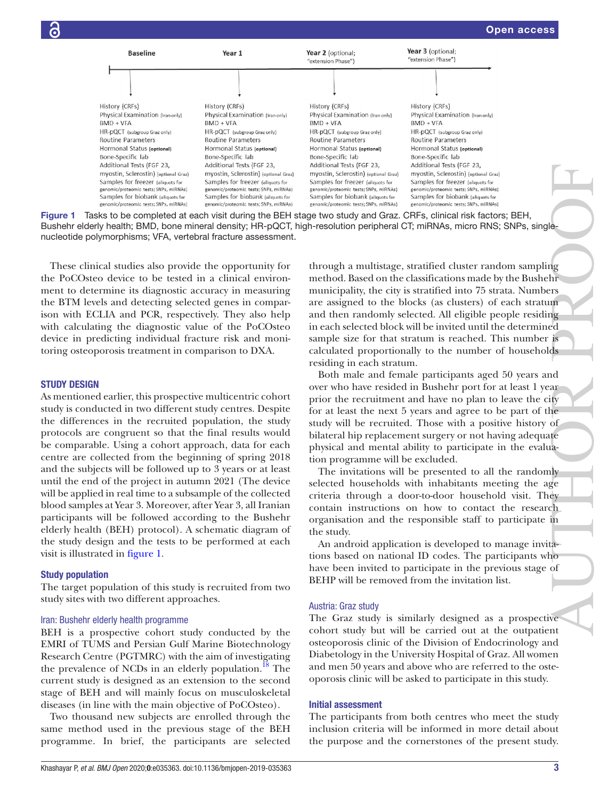

<span id="page-2-0"></span>Figure 1 Tasks to be completed at each visit during the BEH stage two study and Graz. CRFs, clinical risk factors; BEH, Bushehr elderly health; BMD, bone mineral density; HR-pQCT, high-resolution peripheral CT; miRNAs, micro RNS; SNPs, single-

These clinical studies also provide the opportunity for the PoCOsteo device to be tested in a clinical environment to determine its diagnostic accuracy in measuring the BTM levels and detecting selected genes in comparison with ECLIA and PCR, respectively. They also help with calculating the diagnostic value of the PoCOsteo device in predicting individual fracture risk and monitoring osteoporosis treatment in comparison to DXA.

## STUDY DESIGN

As mentioned earlier, this prospective multicentric cohort study is conducted in two different study centres. Despite the differences in the recruited population, the study protocols are congruent so that the final results would be comparable. Using a cohort approach, data for each centre are collected from the beginning of spring 2018 and the subjects will be followed up to 3 years or at least until the end of the project in autumn 2021 (The device will be applied in real time to a subsample of the collected blood samples at Year 3. Moreover, after Year 3, all Iranian participants will be followed according to the Bushehr elderly health (BEH) protocol). A schematic diagram of the study design and the tests to be performed at each visit is illustrated in [figure](#page-2-0) 1. nucleotide polymorphisms; VFA vertebral fracture assessment assessment assessment assessment assessment assessment assessment assessment assessment assessment assessment assessment assessment assessment assessment assessme

#### Study population

The target population of this study is recruited from two study sites with two different approaches.

#### Iran: Bushehr elderly health programme

BEH is a prospective cohort study conducted by the EMRI of TUMS and Persian Gulf Marine Biotechnology Research Centre (PGTMRC) with the aim of investigating the prevalence of NCDs in an elderly population. $18$  The current study is designed as an extension to the second stage of BEH and will mainly focus on musculoskeletal diseases (in line with the main objective of PoCOsteo).

Two thousand new subjects are enrolled through the same method used in the previous stage of the BEH programme. In brief, the participants are selected through a multistage, stratified cluster random sampling method. Based on the classifications made by the Bushehr municipality, the city is stratified into 75 strata. Numbers are assigned to the blocks (as clusters) of each stratum and then randomly selected. All eligible people residing in each selected block will be invited until the determined sample size for that stratum is reached. This number is calculated proportionally to the number of households residing in each stratum.

Both male and female participants aged 50 years and over who have resided in Bushehr port for at least 1 year prior the recruitment and have no plan to leave the city for at least the next 5 years and agree to be part of the study will be recruited. Those with a positive history of bilateral hip replacement surgery or not having adequate physical and mental ability to participate in the evaluation programme will be excluded.

The invitations will be presented to all the randomly selected households with inhabitants meeting the age criteria through a door-to-door household visit. They contain instructions on how to contact the research organisation and the responsible staff to participate in the study.

An android application is developed to manage invitations based on national ID codes. The participants who have been invited to participate in the previous stage of BEHP will be removed from the invitation list.

#### Austria: Graz study

The Graz study is similarly designed as a prospective cohort study but will be carried out at the outpatient osteoporosis clinic of the Division of Endocrinology and Diabetology in the University Hospital of Graz. All women and men 50 years and above who are referred to the osteoporosis clinic will be asked to participate in this study.

## Initial assessment

The participants from both centres who meet the study inclusion criteria will be informed in more detail about the purpose and the cornerstones of the present study.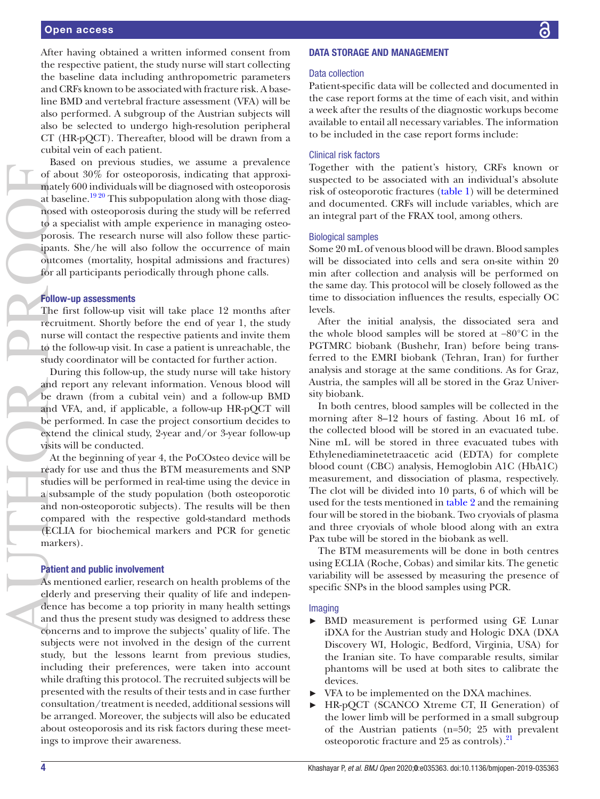## Open access

After having obtained a written informed consent from the respective patient, the study nurse will start collecting the baseline data including anthropometric parameters and CRFs known to be associated with fracture risk. A baseline BMD and vertebral fracture assessment (VFA) will be also performed. A subgroup of the Austrian subjects will also be selected to undergo high-resolution peripheral CT (HR-pQCT). Thereafter, blood will be drawn from a cubital vein of each patient.

Based on previous studies, we assume a prevalence of about 30% for osteoporosis, indicating that approximately 600 individuals will be diagnosed with osteoporosis at baseline.[19 20](#page-7-13) This subpopulation along with those diagnosed with osteoporosis during the study will be referred to a specialist with ample experience in managing osteoporosis. The research nurse will also follow these participants. She/he will also follow the occurrence of main outcomes (mortality, hospital admissions and fractures) for all participants periodically through phone calls.

# Follow-up assessments

The first follow-up visit will take place 12 months after recruitment. Shortly before the end of year 1, the study nurse will contact the respective patients and invite them to the follow-up visit. In case a patient is unreachable, the study coordinator will be contacted for further action.

During this follow-up, the study nurse will take history and report any relevant information. Venous blood will be drawn (from a cubital vein) and a follow-up BMD and VFA, and, if applicable, a follow-up HR-pQCT will be performed. In case the project consortium decides to extend the clinical study, 2-year and/or 3-year follow-up visits will be conducted.

At the beginning of year 4, the PoCOsteo device will be ready for use and thus the BTM measurements and SNP studies will be performed in real-time using the device in a subsample of the study population (both osteoporotic and non-osteoporotic subjects). The results will be then compared with the respective gold-standard methods (ECLIA for biochemical markers and PCR for genetic markers).

## Patient and public involvement

As mentioned earlier, research on health problems of the elderly and preserving their quality of life and independence has become a top priority in many health settings and thus the present study was designed to address these concerns and to improve the subjects' quality of life. The subjects were not involved in the design of the current study, but the lessons learnt from previous studies, including their preferences, were taken into account while drafting this protocol. The recruited subjects will be presented with the results of their tests and in case further consultation/treatment is needed, additional sessions will be arranged. Moreover, the subjects will also be educated about osteoporosis and its risk factors during these meetings to improve their awareness.

## DATA STORAGE AND MANAGEMENT

## Data collection

Patient-specific data will be collected and documented in the case report forms at the time of each visit, and within a week after the results of the diagnostic workups become available to entail all necessary variables. The information to be included in the case report forms include:

#### Clinical risk factors

Together with the patient's history, CRFs known or suspected to be associated with an individual's absolute risk of osteoporotic fractures ([table](#page-4-0) 1) will be determined and documented. CRFs will include variables, which are an integral part of the FRAX tool, among others.

## Biological samples

Some 20 mL of venous blood will be drawn. Blood samples will be dissociated into cells and sera on-site within 20 min after collection and analysis will be performed on the same day. This protocol will be closely followed as the time to dissociation influences the results, especially OC levels.

After the initial analysis, the dissociated sera and the whole blood samples will be stored at −80°C in the PGTMRC biobank (Bushehr, Iran) before being transferred to the EMRI biobank (Tehran, Iran) for further analysis and storage at the same conditions. As for Graz, Austria, the samples will all be stored in the Graz University biobank.

In both centres, blood samples will be collected in the morning after 8–12 hours of fasting. About 16 mL of the collected blood will be stored in an evacuated tube. Nine mL will be stored in three evacuated tubes with Ethylenediaminetetraacetic acid (EDTA) for complete blood count (CBC) analysis, Hemoglobin A1C (HbA1C) measurement, and dissociation of plasma, respectively. The clot will be divided into 10 parts, 6 of which will be used for the tests mentioned in [table](#page-4-1) 2 and the remaining four will be stored in the biobank. Two cryovials of plasma and three cryovials of whole blood along with an extra Pax tube will be stored in the biobank as well.

The BTM measurements will be done in both centres using ECLIA (Roche, Cobas) and similar kits. The genetic variability will be assessed by measuring the presence of specific SNPs in the blood samples using PCR.

#### Imaging

- ► BMD measurement is performed using GE Lunar iDXA for the Austrian study and Hologic DXA (DXA Discovery WI, Hologic, Bedford, Virginia, USA) for the Iranian site. To have comparable results, similar phantoms will be used at both sites to calibrate the devices.
- ► VFA to be implemented on the DXA machines.
- ► HR-pQCT (SCANCO Xtreme CT, II Generation) of the lower limb will be performed in a small subgroup of the Austrian patients (n=50; 25 with prevalent osteoporotic fracture and 25 as controls).<sup>21</sup>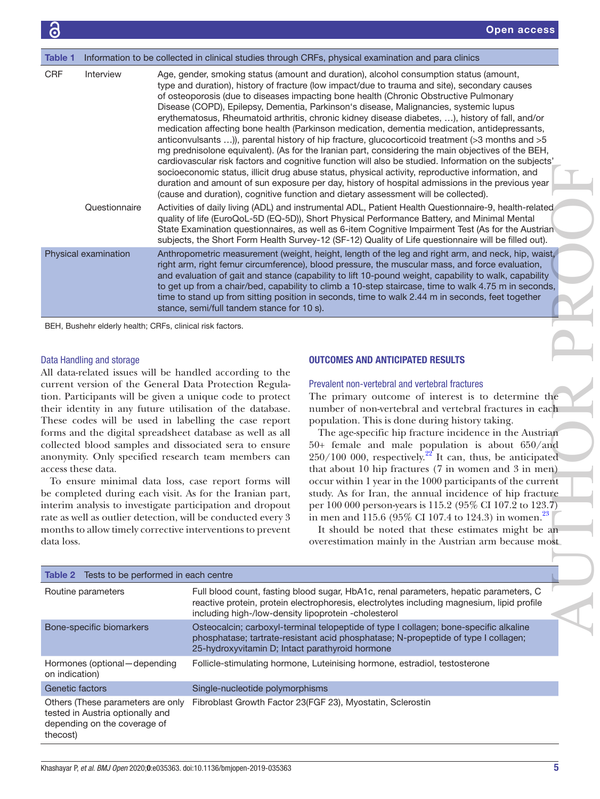<span id="page-4-0"></span>

| Information to be collected in clinical studies through CRFs, physical examination and para clinics<br>Table 1 |                                                                                                                                                                                                                                                                                                                                                                                                                                                                                                                                                                                                                                                                                                                                                                                                                                                                                                                                                                                                                                                                                                                                                                                                                                                                                                                                                                                                                                                                                                                                                                                                                                                                                                     |  |
|----------------------------------------------------------------------------------------------------------------|-----------------------------------------------------------------------------------------------------------------------------------------------------------------------------------------------------------------------------------------------------------------------------------------------------------------------------------------------------------------------------------------------------------------------------------------------------------------------------------------------------------------------------------------------------------------------------------------------------------------------------------------------------------------------------------------------------------------------------------------------------------------------------------------------------------------------------------------------------------------------------------------------------------------------------------------------------------------------------------------------------------------------------------------------------------------------------------------------------------------------------------------------------------------------------------------------------------------------------------------------------------------------------------------------------------------------------------------------------------------------------------------------------------------------------------------------------------------------------------------------------------------------------------------------------------------------------------------------------------------------------------------------------------------------------------------------------|--|
| <b>CRF</b><br>Interview                                                                                        | Age, gender, smoking status (amount and duration), alcohol consumption status (amount,<br>type and duration), history of fracture (low impact/due to trauma and site), secondary causes<br>of osteoporosis (due to diseases impacting bone health (Chronic Obstructive Pulmonary<br>Disease (COPD), Epilepsy, Dementia, Parkinson's disease, Malignancies, systemic lupus<br>erythematosus, Rheumatoid arthritis, chronic kidney disease diabetes, ), history of fall, and/or<br>medication affecting bone health (Parkinson medication, dementia medication, antidepressants,<br>anticonvulsants )), parental history of hip fracture, glucocorticoid treatment (>3 months and >5<br>mg prednisolone equivalent). (As for the Iranian part, considering the main objectives of the BEH,<br>cardiovascular risk factors and cognitive function will also be studied. Information on the subjects'<br>socioeconomic status, illicit drug abuse status, physical activity, reproductive information, and<br>duration and amount of sun exposure per day, history of hospital admissions in the previous year<br>(cause and duration), cognitive function and dietary assessment will be collected).                                                                                                                                                                                                                                                                                                                                                                                                                                                                                                   |  |
| Questionnaire                                                                                                  | Activities of daily living (ADL) and instrumental ADL, Patient Health Questionnaire-9, health-related<br>quality of life (EuroQoL-5D (EQ-5D)), Short Physical Performance Battery, and Minimal Mental<br>State Examination questionnaires, as well as 6-item Cognitive Impairment Test (As for the Austrian<br>subjects, the Short Form Health Survey-12 (SF-12) Quality of Life questionnaire will be filled out).                                                                                                                                                                                                                                                                                                                                                                                                                                                                                                                                                                                                                                                                                                                                                                                                                                                                                                                                                                                                                                                                                                                                                                                                                                                                                 |  |
| Physical examination                                                                                           | Anthropometric measurement (weight, height, length of the leg and right arm, and neck, hip, waist,<br>right arm, right femur circumference), blood pressure, the muscular mass, and force evaluation,<br>and evaluation of gait and stance (capability to lift 10-pound weight, capability to walk, capability<br>to get up from a chair/bed, capability to climb a 10-step staircase, time to walk 4.75 m in seconds,<br>time to stand up from sitting position in seconds, time to walk 2.44 m in seconds, feet together<br>stance, semi/full tandem stance for 10 s).                                                                                                                                                                                                                                                                                                                                                                                                                                                                                                                                                                                                                                                                                                                                                                                                                                                                                                                                                                                                                                                                                                                            |  |
| BEH, Bushehr elderly health; CRFs, clinical risk factors.                                                      |                                                                                                                                                                                                                                                                                                                                                                                                                                                                                                                                                                                                                                                                                                                                                                                                                                                                                                                                                                                                                                                                                                                                                                                                                                                                                                                                                                                                                                                                                                                                                                                                                                                                                                     |  |
| Data Handling and storage<br>access these data.<br>data loss.                                                  | <b>OUTCOMES AND ANTICIPATED RESULTS</b><br>All data-related issues will be handled according to the<br>current version of the General Data Protection Regula-<br>Prevalent non-vertebral and vertebral fractures<br>tion. Participants will be given a unique code to protect<br>The primary outcome of interest is to determine the<br>their identity in any future utilisation of the database.<br>number of non-vertebral and vertebral fractures in each<br>These codes will be used in labelling the case report<br>population. This is done during history taking.<br>forms and the digital spreadsheet database as well as all<br>The age-specific hip fracture incidence in the Austrian<br>50+ female and male population is about 650/and<br>collected blood samples and dissociated sera to ensure<br>$250/100$ 000, respectively. <sup>22</sup> It can, thus, be anticipated<br>anonymity. Only specified research team members can<br>that about 10 hip fractures (7 in women and 3 in men)<br>occur within 1 year in the 1000 participants of the current<br>To ensure minimal data loss, case report forms will<br>be completed during each visit. As for the Iranian part,<br>study. As for Iran, the annual incidence of hip fracture<br>per 100 000 person-years is 115.2 (95% CI 107.2 to 123.7)<br>interim analysis to investigate participation and dropout<br>rate as well as outlier detection, will be conducted every 3<br>in men and 115.6 (95% CI 107.4 to 124.3) in women. <sup>23</sup><br>months to allow timely corrective interventions to prevent<br>It should be noted that these estimates might be an<br>overestimation mainly in the Austrian arm because most |  |
| Tests to be performed in each centre<br><b>Table 2</b>                                                         |                                                                                                                                                                                                                                                                                                                                                                                                                                                                                                                                                                                                                                                                                                                                                                                                                                                                                                                                                                                                                                                                                                                                                                                                                                                                                                                                                                                                                                                                                                                                                                                                                                                                                                     |  |
| Routine parameters                                                                                             | Full blood count, fasting blood sugar, HbA1c, renal parameters, hepatic parameters, C<br>reactive protein, protein electrophoresis, electrolytes including magnesium, lipid profile<br>including high-/low-density lipoprotein -cholesterol                                                                                                                                                                                                                                                                                                                                                                                                                                                                                                                                                                                                                                                                                                                                                                                                                                                                                                                                                                                                                                                                                                                                                                                                                                                                                                                                                                                                                                                         |  |
| Bone-specific biomarkers                                                                                       | Osteocalcin; carboxyl-terminal telopeptide of type I collagen; bone-specific alkaline                                                                                                                                                                                                                                                                                                                                                                                                                                                                                                                                                                                                                                                                                                                                                                                                                                                                                                                                                                                                                                                                                                                                                                                                                                                                                                                                                                                                                                                                                                                                                                                                               |  |

## Data Handling and storage

## OUTCOMES AND ANTICIPATED RESULTS

## Prevalent non-vertebral and vertebral fractures

<span id="page-4-1"></span>

| Table 2 Tests to be performed in each centre                                                                      |                                                                                                                                                                                                                                             |  |  |
|-------------------------------------------------------------------------------------------------------------------|---------------------------------------------------------------------------------------------------------------------------------------------------------------------------------------------------------------------------------------------|--|--|
| Routine parameters                                                                                                | Full blood count, fasting blood sugar, HbA1c, renal parameters, hepatic parameters, C<br>reactive protein, protein electrophoresis, electrolytes including magnesium, lipid profile<br>including high-/low-density lipoprotein -cholesterol |  |  |
| Bone-specific biomarkers                                                                                          | Osteocalcin; carboxyl-terminal telopeptide of type I collagen; bone-specific alkaline<br>phosphatase; tartrate-resistant acid phosphatase; N-propeptide of type I collagen;<br>25-hydroxyvitamin D; Intact parathyroid hormone              |  |  |
| Hormones (optional - depending<br>on indication)                                                                  | Follicle-stimulating hormone, Luteinising hormone, estradiol, testosterone                                                                                                                                                                  |  |  |
| Genetic factors                                                                                                   | Single-nucleotide polymorphisms                                                                                                                                                                                                             |  |  |
| Others (These parameters are only<br>tested in Austria optionally and<br>depending on the coverage of<br>thecost) | Fibroblast Growth Factor 23(FGF 23), Myostatin, Sclerostin                                                                                                                                                                                  |  |  |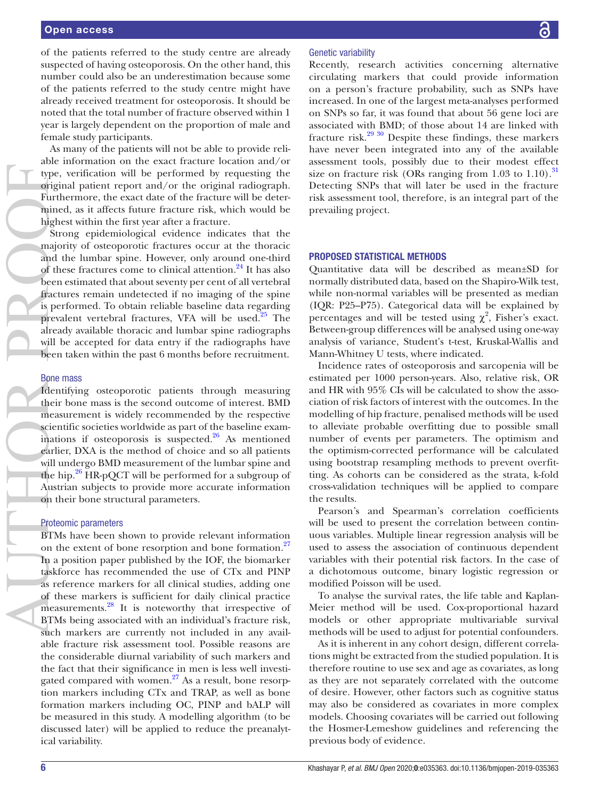of the patients referred to the study centre are already suspected of having osteoporosis. On the other hand, this number could also be an underestimation because some of the patients referred to the study centre might have already received treatment for osteoporosis. It should be noted that the total number of fracture observed within 1 year is largely dependent on the proportion of male and female study participants.

As many of the patients will not be able to provide reliable information on the exact fracture location and/or type, verification will be performed by requesting the original patient report and/or the original radiograph. Furthermore, the exact date of the fracture will be determined, as it affects future fracture risk, which would be highest within the first year after a fracture.

Strong epidemiological evidence indicates that the majority of osteoporotic fractures occur at the thoracic and the lumbar spine. However, only around one-third of these fractures come to clinical attention.<sup>24</sup> It has also been estimated that about seventy per cent of all vertebral fractures remain undetected if no imaging of the spine is performed. To obtain reliable baseline data regarding prevalent vertebral fractures, VFA will be used.<sup>25</sup> The already available thoracic and lumbar spine radiographs will be accepted for data entry if the radiographs have been taken within the past 6 months before recruitment.

#### Bone mass

Identifying osteoporotic patients through measuring their bone mass is the second outcome of interest. BMD measurement is widely recommended by the respective scientific societies worldwide as part of the baseline examinations if osteoporosis is suspected. $26$  As mentioned earlier, DXA is the method of choice and so all patients will undergo BMD measurement of the lumbar spine and the hip. $26$  HR-pQCT will be performed for a subgroup of Austrian subjects to provide more accurate information on their bone structural parameters.

#### Proteomic parameters

BTMs have been shown to provide relevant information on the extent of bone resorption and bone formation.<sup>[27](#page-7-20)</sup> In a position paper published by the IOF, the biomarker taskforce has recommended the use of CTx and PINP as reference markers for all clinical studies, adding one of these markers is sufficient for daily clinical practice measurements.<sup>[28](#page-7-21)</sup> It is noteworthy that irrespective of BTMs being associated with an individual's fracture risk, such markers are currently not included in any available fracture risk assessment tool. Possible reasons are the considerable diurnal variability of such markers and the fact that their significance in men is less well investigated compared with women.<sup>27</sup> As a result, bone resorption markers including CTx and TRAP, as well as bone formation markers including OC, PINP and bALP will be measured in this study. A modelling algorithm (to be discussed later) will be applied to reduce the preanalytical variability.

## Genetic variability

Recently, research activities concerning alternative circulating markers that could provide information on a person's fracture probability, such as SNPs have increased. In one of the largest meta-analyses performed on SNPs so far, it was found that about 56 gene loci are associated with BMD; of those about 14 are linked with fracture risk.[29 30](#page-7-22) Despite these findings, these markers have never been integrated into any of the available assessment tools, possibly due to their modest effect size on fracture risk (ORs ranging from  $1.03$  to  $1.10$ ).<sup>[31](#page-7-23)</sup> Detecting SNPs that will later be used in the fracture risk assessment tool, therefore, is an integral part of the prevailing project.

## PROPOSED STATISTICAL METHODS

Quantitative data will be described as mean±SD for normally distributed data, based on the Shapiro-Wilk test, while non-normal variables will be presented as median (IQR: P25–P75). Categorical data will be explained by percentages and will be tested using  $\chi^2$ , Fisher's exact. Between-group differences will be analysed using one-way analysis of variance, Student's t-test, Kruskal-Wallis and Mann-Whitney U tests, where indicated.

Incidence rates of osteoporosis and sarcopenia will be estimated per 1000 person-years. Also, relative risk, OR and HR with 95% CIs will be calculated to show the association of risk factors of interest with the outcomes. In the modelling of hip fracture, penalised methods will be used to alleviate probable overfitting due to possible small number of events per parameters. The optimism and the optimism-corrected performance will be calculated using bootstrap resampling methods to prevent overfitting. As cohorts can be considered as the strata, k-fold cross-validation techniques will be applied to compare the results.

Pearson's and Spearman's correlation coefficients will be used to present the correlation between continuous variables. Multiple linear regression analysis will be used to assess the association of continuous dependent variables with their potential risk factors. In the case of a dichotomous outcome, binary logistic regression or modified Poisson will be used.

To analyse the survival rates, the life table and Kaplan-Meier method will be used. Cox-proportional hazard models or other appropriate multivariable survival methods will be used to adjust for potential confounders.

As it is inherent in any cohort design, different correlations might be extracted from the studied population. It is therefore routine to use sex and age as covariates, as long as they are not separately correlated with the outcome of desire. However, other factors such as cognitive status may also be considered as covariates in more complex models. Choosing covariates will be carried out following the Hosmer-Lemeshow guidelines and referencing the previous body of evidence.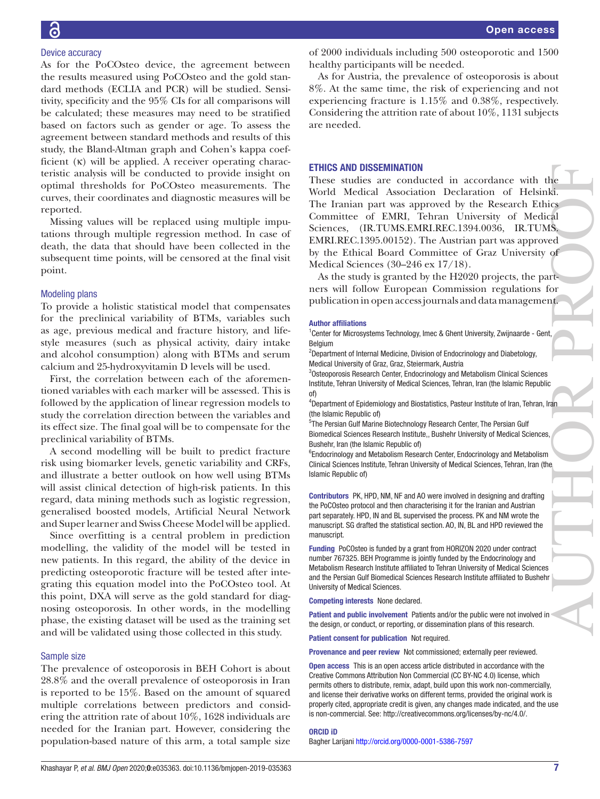As for the PoCOsteo device, the agreement between the results measured using PoCOsteo and the gold standard methods (ECLIA and PCR) will be studied. Sensitivity, specificity and the 95% CIs for all comparisons will be calculated; these measures may need to be stratified based on factors such as gender or age. To assess the agreement between standard methods and results of this study, the Bland-Altman graph and Cohen's kappa coefficient (κ) will be applied. A receiver operating characteristic analysis will be conducted to provide insight on optimal thresholds for PoCOsteo measurements. The curves, their coordinates and diagnostic measures will be reported.

Missing values will be replaced using multiple imputations through multiple regression method. In case of death, the data that should have been collected in the subsequent time points, will be censored at the final visit point.

## Modeling plans

To provide a holistic statistical model that compensates for the preclinical variability of BTMs, variables such as age, previous medical and fracture history, and lifestyle measures (such as physical activity, dairy intake and alcohol consumption) along with BTMs and serum calcium and 25-hydroxyvitamin D levels will be used.

First, the correlation between each of the aforementioned variables with each marker will be assessed. This is followed by the application of linear regression models to study the correlation direction between the variables and its effect size. The final goal will be to compensate for the preclinical variability of BTMs.

A second modelling will be built to predict fracture risk using biomarker levels, genetic variability and CRFs, and illustrate a better outlook on how well using BTMs will assist clinical detection of high-risk patients. In this regard, data mining methods such as logistic regression, generalised boosted models, Artificial Neural Network and Super learner and Swiss Cheese Model will be applied.

Since overfitting is a central problem in prediction modelling, the validity of the model will be tested in new patients. In this regard, the ability of the device in predicting osteoporotic fracture will be tested after integrating this equation model into the PoCOsteo tool. At this point, DXA will serve as the gold standard for diagnosing osteoporosis. In other words, in the modelling phase, the existing dataset will be used as the training set and will be validated using those collected in this study.

#### Sample size

The prevalence of osteoporosis in BEH Cohort is about 28.8% and the overall prevalence of osteoporosis in Iran is reported to be 15%. Based on the amount of squared multiple correlations between predictors and considering the attrition rate of about 10%, 1628 individuals are needed for the Iranian part. However, considering the population-based nature of this arm, a total sample size

of 2000 individuals including 500 osteoporotic and 1500 healthy participants will be needed.

As for Austria, the prevalence of osteoporosis is about 8%. At the same time, the risk of experiencing and not experiencing fracture is 1.15% and 0.38%, respectively. Considering the attrition rate of about 10%, 1131 subjects are needed.

#### ETHICS AND DISSEMINATION

These studies are conducted in accordance with the World Medical Association Declaration of Helsinki. The Iranian part was approved by the Research Ethics Committee of EMRI, Tehran University of Medical Sciences, (IR.TUMS.EMRI.REC.1394.0036, IR.TUMS. EMRI.REC.1395.00152). The Austrian part was approved by the Ethical Board Committee of Graz University of Medical Sciences (30–246 ex 17/18). AUTHOR PROPERTY AT A PROPERTY AND RESIDENCE OF A PROPERTY AND RESIDENCE OF A PROPERTY AND RESIDENCE OF A PROPERTY AND RESIDENCE OF A PROPERTY AND RESIDENCE OF A PROPERTY AND RECESSED A PROPERTY AND RECESSED A PROPERTY AND

As the study is granted by the H2020 projects, the partners will follow European Commission regulations for publication in open access journals and data management.

#### Author affiliations

<sup>1</sup> Center for Microsystems Technology, Imec & Ghent University, Zwijnaarde - Gent, Belgium

<sup>2</sup>Department of Internal Medicine, Division of Endocrinology and Diabetology, Medical University of Graz, Graz, Steiermark, Austria

3 Osteoporosis Research Center, Endocrinology and Metabolism Clinical Sciences Institute, Tehran University of Medical Sciences, Tehran, Iran (the Islamic Republic of)

4 Department of Epidemiology and Biostatistics, Pasteur Institute of Iran, Tehran, Iran (the Islamic Republic of)

5 The Persian Gulf Marine Biotechnology Research Center, The Persian Gulf Biomedical Sciences Research Institute,, Bushehr University of Medical Sciences, Bushehr, Iran (the Islamic Republic of)

<sup>6</sup>Endocrinology and Metabolism Research Center, Endocrinology and Metabolism Clinical Sciences Institute, Tehran University of Medical Sciences, Tehran, Iran (the Islamic Republic of)

Contributors PK, HPD, NM, NF and AO were involved in designing and drafting the PoCOsteo protocol and then characterising it for the Iranian and Austrian part separately. HPD, IN and BL supervised the process. PK and NM wrote the manuscript. SG drafted the statistical section. AO, IN, BL and HPD reviewed the manuscript.

Funding PoCOsteo is funded by a grant from HORIZON 2020 under contract number 767325. BEH Programme is jointly funded by the Endocrinology and Metabolism Research Institute affiliated to Tehran University of Medical Sciences and the Persian Gulf Biomedical Sciences Research Institute affiliated to Bushehr University of Medical Sciences.

Competing interests None declared.

Patient and public involvement Patients and/or the public were not involved in the design, or conduct, or reporting, or dissemination plans of this research.

Patient consent for publication Not required.

Provenance and peer review Not commissioned; externally peer reviewed.

Open access This is an open access article distributed in accordance with the Creative Commons Attribution Non Commercial (CC BY-NC 4.0) license, which permits others to distribute, remix, adapt, build upon this work non-commercially, and license their derivative works on different terms, provided the original work is properly cited, appropriate credit is given, any changes made indicated, and the use is non-commercial. See: [http://creativecommons.org/licenses/by-nc/4.0/.](http://creativecommons.org/licenses/by-nc/4.0/)

#### ORCID iD

Bagher Larijani<http://orcid.org/0000-0001-5386-7597>